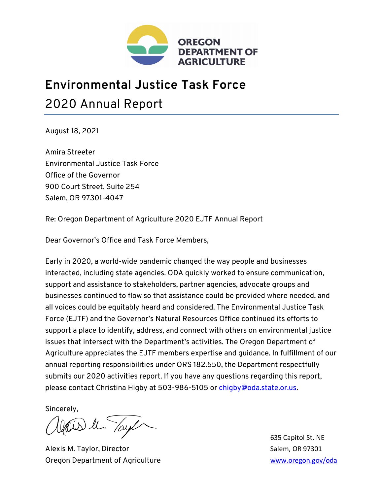

## **Environmental Justice Task Force**  2020 Annual Report

August 18, 2021

Amira Streeter Environmental Justice Task Force Office of the Governor 900 Court Street, Suite 254 Salem, OR 97301-4047

Re: Oregon Department of Agriculture 2020 EJTF Annual Report

Dear Governor's Office and Task Force Members,

Early in 2020, a world-wide pandemic changed the way people and businesses interacted, including state agencies. ODA quickly worked to ensure communication, support and assistance to stakeholders, partner agencies, advocate groups and businesses continued to flow so that assistance could be provided where needed, and all voices could be equitably heard and considered. The Environmental Justice Task Force (EJTF) and the Governor's Natural Resources Office continued its efforts to support a place to identify, address, and connect with others on environmental justice issues that intersect with the Department's activities. The Oregon Department of Agriculture appreciates the EJTF members expertise and guidance. In fulfillment of our annual reporting responsibilities under ORS 182.550, the Department respectfully submits our 2020 activities report. If you have any questions regarding this report, please contact Christina Higby at 503-986-5105 or chigby@oda.state.or.us.

Sincerely,

Alexis M. Taylor, Director National Alexis M. Taylor, Director Oregon Department of Agriculture www.oregon.gov/oda

635 Capitol St. NE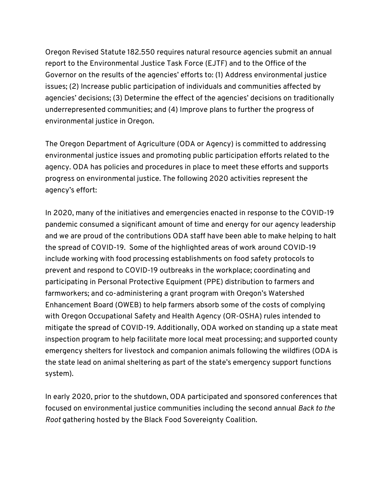Oregon Revised Statute 182.550 requires natural resource agencies submit an annual report to the Environmental Justice Task Force (EJTF) and to the Office of the Governor on the results of the agencies' efforts to: (1) Address environmental justice issues; (2) Increase public participation of individuals and communities affected by agencies' decisions; (3) Determine the effect of the agencies' decisions on traditionally underrepresented communities; and (4) Improve plans to further the progress of environmental justice in Oregon.

The Oregon Department of Agriculture (ODA or Agency) is committed to addressing environmental justice issues and promoting public participation efforts related to the agency. ODA has policies and procedures in place to meet these efforts and supports progress on environmental justice. The following 2020 activities represent the agency's effort:

In 2020, many of the initiatives and emergencies enacted in response to the COVID-19 pandemic consumed a significant amount of time and energy for our agency leadership and we are proud of the contributions ODA staff have been able to make helping to halt the spread of COVID-19. Some of the highlighted areas of work around COVID-19 include working with food processing establishments on food safety protocols to prevent and respond to COVID-19 outbreaks in the workplace; coordinating and participating in Personal Protective Equipment (PPE) distribution to farmers and farmworkers; and co-administering a grant program with Oregon's Watershed Enhancement Board (OWEB) to help farmers absorb some of the costs of complying with Oregon Occupational Safety and Health Agency (OR-OSHA) rules intended to mitigate the spread of COVID-19. Additionally, ODA worked on standing up a state meat inspection program to help facilitate more local meat processing; and supported county emergency shelters for livestock and companion animals following the wildfires (ODA is the state lead on animal sheltering as part of the state's emergency support functions system).

In early 2020, prior to the shutdown, ODA participated and sponsored conferences that focused on environmental justice communities including the second annual *Back to the Root* gathering hosted by the Black Food Sovereignty Coalition.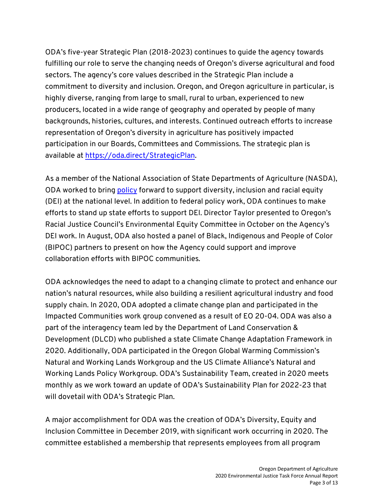ODA's five-year Strategic Plan (2018-2023) continues to guide the agency towards fulfilling our role to serve the changing needs of Oregon's diverse agricultural and food sectors. The agency's core values described in the Strategic Plan include a commitment to diversity and inclusion. Oregon, and Oregon agriculture in particular, is highly diverse, ranging from large to small, rural to urban, experienced to new producers, located in a wide range of geography and operated by people of many backgrounds, histories, cultures, and interests. Continued outreach efforts to increase representation of Oregon's diversity in agriculture has positively impacted participation in our Boards, Committees and Commissions. The strategic plan is available at https://oda.direct/StrategicPlan.

As a member of the National Association of State Departments of Agriculture (NASDA), ODA worked to bring policy forward to support diversity, inclusion and racial equity (DEI) at the national level. In addition to federal policy work, ODA continues to make efforts to stand up state efforts to support DEI. Director Taylor presented to Oregon's Racial Justice Council's Environmental Equity Committee in October on the Agency's DEI work. In August, ODA also hosted a panel of Black, Indigenous and People of Color (BIPOC) partners to present on how the Agency could support and improve collaboration efforts with BIPOC communities.

ODA acknowledges the need to adapt to a changing climate to protect and enhance our nation's natural resources, while also building a resilient agricultural industry and food supply chain. In 2020, ODA adopted a climate change plan and participated in the Impacted Communities work group convened as a result of EO 20-04. ODA was also a part of the interagency team led by the Department of Land Conservation & Development (DLCD) who published a state Climate Change Adaptation Framework in 2020. Additionally, ODA participated in the Oregon Global Warming Commission's Natural and Working Lands Workgroup and the US Climate Alliance's Natural and Working Lands Policy Workgroup. ODA's Sustainability Team, created in 2020 meets monthly as we work toward an update of ODA's Sustainability Plan for 2022-23 that will dovetail with ODA's Strategic Plan.

A major accomplishment for ODA was the creation of ODA's Diversity, Equity and Inclusion Committee in December 2019, with significant work occurring in 2020. The committee established a membership that represents employees from all program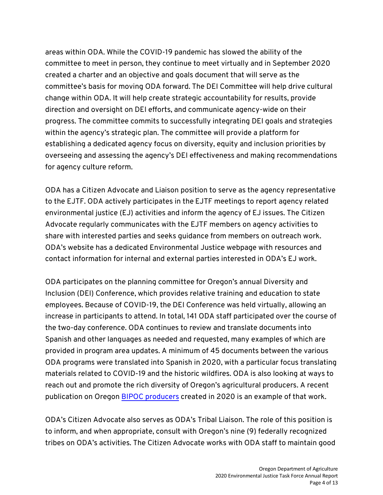areas within ODA. While the COVID-19 pandemic has slowed the ability of the committee to meet in person, they continue to meet virtually and in September 2020 created a charter and an objective and goals document that will serve as the committee's basis for moving ODA forward. The DEI Committee will help drive cultural change within ODA. It will help create strategic accountability for results, provide direction and oversight on DEI efforts, and communicate agency-wide on their progress. The committee commits to successfully integrating DEI goals and strategies within the agency's strategic plan. The committee will provide a platform for establishing a dedicated agency focus on diversity, equity and inclusion priorities by overseeing and assessing the agency's DEI effectiveness and making recommendations for agency culture reform.

ODA has a Citizen Advocate and Liaison position to serve as the agency representative to the EJTF. ODA actively participates in the EJTF meetings to report agency related environmental justice (EJ) activities and inform the agency of EJ issues. The Citizen Advocate regularly communicates with the EJTF members on agency activities to share with interested parties and seeks guidance from members on outreach work. ODA's website has a dedicated Environmental Justice webpage with resources and contact information for internal and external parties interested in ODA's EJ work.

ODA participates on the planning committee for Oregon's annual Diversity and Inclusion (DEI) Conference, which provides relative training and education to state employees. Because of COVID-19, the DEI Conference was held virtually, allowing an increase in participants to attend. In total, 141 ODA staff participated over the course of the two-day conference. ODA continues to review and translate documents into Spanish and other languages as needed and requested, many examples of which are provided in program area updates. A minimum of 45 documents between the various ODA programs were translated into Spanish in 2020, with a particular focus translating materials related to COVID-19 and the historic wildfires. ODA is also looking at ways to reach out and promote the rich diversity of Oregon's agricultural producers. A recent publication on Oregon BIPOC producers created in 2020 is an example of that work.

ODA's Citizen Advocate also serves as ODA's Tribal Liaison. The role of this position is to inform, and when appropriate, consult with Oregon's nine (9) federally recognized tribes on ODA's activities. The Citizen Advocate works with ODA staff to maintain good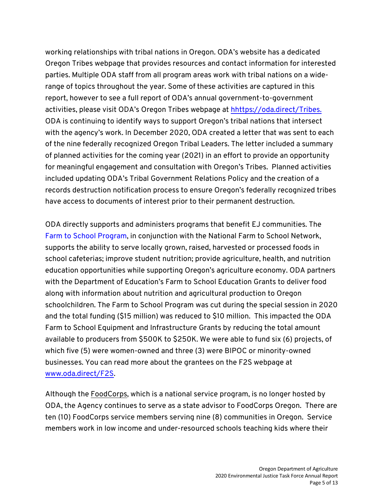working relationships with tribal nations in Oregon. ODA's website has a dedicated Oregon Tribes webpage that provides resources and contact information for interested parties. Multiple ODA staff from all program areas work with tribal nations on a widerange of topics throughout the year. Some of these activities are captured in this report, however to see a full report of ODA's annual government-to-government activities, please visit ODA's Oregon Tribes webpage at hhttps://oda.direct/Tribes. ODA is continuing to identify ways to support Oregon's tribal nations that intersect with the agency's work. In December 2020, ODA created a letter that was sent to each of the nine federally recognized Oregon Tribal Leaders. The letter included a summary of planned activities for the coming year (2021) in an effort to provide an opportunity for meaningful engagement and consultation with Oregon's Tribes. Planned activities included updating ODA's Tribal Government Relations Policy and the creation of a records destruction notification process to ensure Oregon's federally recognized tribes have access to documents of interest prior to their permanent destruction.

ODA directly supports and administers programs that benefit EJ communities. The Farm to School Program, in conjunction with the National Farm to School Network, supports the ability to serve locally grown, raised, harvested or processed foods in school cafeterias; improve student nutrition; provide agriculture, health, and nutrition education opportunities while supporting Oregon's agriculture economy. ODA partners with the Department of Education's Farm to School Education Grants to deliver food along with information about nutrition and agricultural production to Oregon schoolchildren. The Farm to School Program was cut during the special session in 2020 and the total funding (\$15 million) was reduced to \$10 million. This impacted the ODA Farm to School Equipment and Infrastructure Grants by reducing the total amount available to producers from \$500K to \$250K. We were able to fund six (6) projects, of which five (5) were women-owned and three (3) were BIPOC or minority-owned businesses. You can read more about the grantees on the F2S webpage at www.oda.direct/F2S.

Although the FoodCorps, which is a national service program, is no longer hosted by ODA, the Agency continues to serve as a state advisor to FoodCorps Oregon. There are ten (10) FoodCorps service members serving nine (8) communities in Oregon. Service members work in low income and under-resourced schools teaching kids where their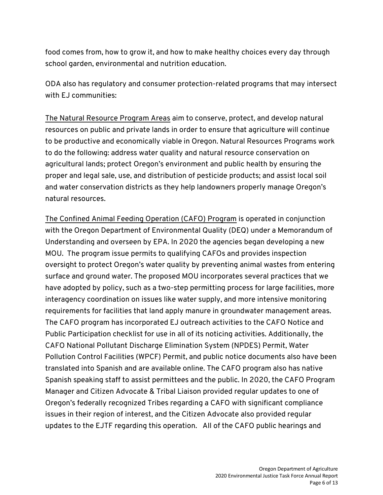food comes from, how to grow it, and how to make healthy choices every day through school garden, environmental and nutrition education.

ODA also has regulatory and consumer protection-related programs that may intersect with EJ communities:

The Natural Resource Program Areas aim to conserve, protect, and develop natural resources on public and private lands in order to ensure that agriculture will continue to be productive and economically viable in Oregon. Natural Resources Programs work to do the following: address water quality and natural resource conservation on agricultural lands; protect Oregon's environment and public health by ensuring the proper and legal sale, use, and distribution of pesticide products; and assist local soil and water conservation districts as they help landowners properly manage Oregon's natural resources.

The Confined Animal Feeding Operation (CAFO) Program is operated in conjunction with the Oregon Department of Environmental Quality (DEQ) under a Memorandum of Understanding and overseen by EPA. In 2020 the agencies began developing a new MOU. The program issue permits to qualifying CAFOs and provides inspection oversight to protect Oregon's water quality by preventing animal wastes from entering surface and ground water. The proposed MOU incorporates several practices that we have adopted by policy, such as a two-step permitting process for large facilities, more interagency coordination on issues like water supply, and more intensive monitoring requirements for facilities that land apply manure in groundwater management areas. The CAFO program has incorporated EJ outreach activities to the CAFO Notice and Public Participation checklist for use in all of its noticing activities. Additionally, the CAFO National Pollutant Discharge Elimination System (NPDES) Permit, Water Pollution Control Facilities (WPCF) Permit, and public notice documents also have been translated into Spanish and are available online. The CAFO program also has native Spanish speaking staff to assist permittees and the public. In 2020, the CAFO Program Manager and Citizen Advocate & Tribal Liaison provided regular updates to one of Oregon's federally recognized Tribes regarding a CAFO with significant compliance issues in their region of interest, and the Citizen Advocate also provided regular updates to the EJTF regarding this operation. All of the CAFO public hearings and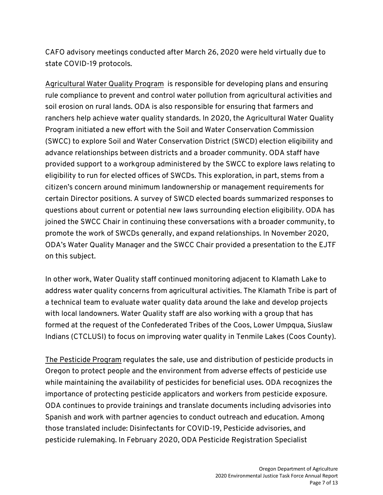CAFO advisory meetings conducted after March 26, 2020 were held virtually due to state COVID-19 protocols.

Agricultural Water Quality Program is responsible for developing plans and ensuring rule compliance to prevent and control water pollution from agricultural activities and soil erosion on rural lands. ODA is also responsible for ensuring that farmers and ranchers help achieve water quality standards. In 2020, the Agricultural Water Quality Program initiated a new effort with the Soil and Water Conservation Commission (SWCC) to explore Soil and Water Conservation District (SWCD) election eligibility and advance relationships between districts and a broader community. ODA staff have provided support to a workgroup administered by the SWCC to explore laws relating to eligibility to run for elected offices of SWCDs. This exploration, in part, stems from a citizen's concern around minimum landownership or management requirements for certain Director positions. A survey of SWCD elected boards summarized responses to questions about current or potential new laws surrounding election eligibility. ODA has joined the SWCC Chair in continuing these conversations with a broader community, to promote the work of SWCDs generally, and expand relationships. In November 2020, ODA's Water Quality Manager and the SWCC Chair provided a presentation to the EJTF on this subject.

In other work, Water Quality staff continued monitoring adjacent to Klamath Lake to address water quality concerns from agricultural activities. The Klamath Tribe is part of a technical team to evaluate water quality data around the lake and develop projects with local landowners. Water Quality staff are also working with a group that has formed at the request of the Confederated Tribes of the Coos, Lower Umpqua, Siuslaw Indians (CTCLUSI) to focus on improving water quality in Tenmile Lakes (Coos County).

The Pesticide Program regulates the sale, use and distribution of pesticide products in Oregon to protect people and the environment from adverse effects of pesticide use while maintaining the availability of pesticides for beneficial uses. ODA recognizes the importance of protecting pesticide applicators and workers from pesticide exposure. ODA continues to provide trainings and translate documents including advisories into Spanish and work with partner agencies to conduct outreach and education. Among those translated include: Disinfectants for COVID-19, Pesticide advisories, and pesticide rulemaking. In February 2020, ODA Pesticide Registration Specialist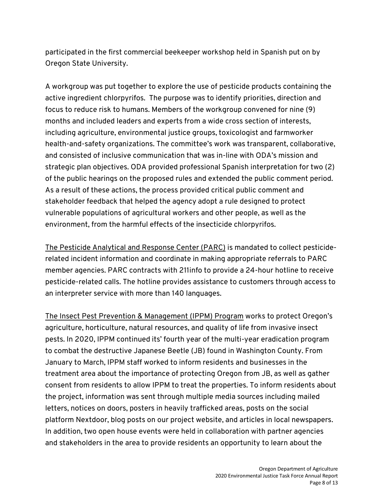participated in the first commercial beekeeper workshop held in Spanish put on by Oregon State University.

A workgroup was put together to explore the use of pesticide products containing the active ingredient chlorpyrifos. The purpose was to identify priorities, direction and focus to reduce risk to humans. Members of the workgroup convened for nine (9) months and included leaders and experts from a wide cross section of interests, including agriculture, environmental justice groups, toxicologist and farmworker health-and-safety organizations. The committee's work was transparent, collaborative, and consisted of inclusive communication that was in-line with ODA's mission and strategic plan objectives. ODA provided professional Spanish interpretation for two (2) of the public hearings on the proposed rules and extended the public comment period. As a result of these actions, the process provided critical public comment and stakeholder feedback that helped the agency adopt a rule designed to protect vulnerable populations of agricultural workers and other people, as well as the environment, from the harmful effects of the insecticide chlorpyrifos.

The Pesticide Analytical and Response Center (PARC) is mandated to collect pesticiderelated incident information and coordinate in making appropriate referrals to PARC member agencies. PARC contracts with 211info to provide a 24-hour hotline to receive pesticide-related calls. The hotline provides assistance to customers through access to an interpreter service with more than 140 languages.

The Insect Pest Prevention & Management (IPPM) Program works to protect Oregon's agriculture, horticulture, natural resources, and quality of life from invasive insect pests. In 2020, IPPM continued its' fourth year of the multi-year eradication program to combat the destructive Japanese Beetle (JB) found in Washington County. From January to March, IPPM staff worked to inform residents and businesses in the treatment area about the importance of protecting Oregon from JB, as well as gather consent from residents to allow IPPM to treat the properties. To inform residents about the project, information was sent through multiple media sources including mailed letters, notices on doors, posters in heavily trafficked areas, posts on the social platform Nextdoor, blog posts on our project website, and articles in local newspapers. In addition, two open house events were held in collaboration with partner agencies and stakeholders in the area to provide residents an opportunity to learn about the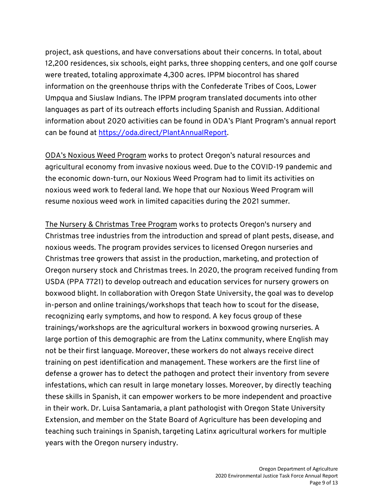project, ask questions, and have conversations about their concerns. In total, about 12,200 residences, six schools, eight parks, three shopping centers, and one golf course were treated, totaling approximate 4,300 acres. IPPM biocontrol has shared information on the greenhouse thrips with the Confederate Tribes of Coos, Lower Umpqua and Siuslaw Indians. The IPPM program translated documents into other languages as part of its outreach efforts including Spanish and Russian. Additional information about 2020 activities can be found in ODA's Plant Program's annual report can be found at https://oda.direct/PlantAnnualReport.

ODA's Noxious Weed Program works to protect Oregon's natural resources and agricultural economy from invasive noxious weed. Due to the COVID-19 pandemic and the economic down-turn, our Noxious Weed Program had to limit its activities on noxious weed work to federal land. We hope that our Noxious Weed Program will resume noxious weed work in limited capacities during the 2021 summer.

The Nursery & Christmas Tree Program works to protects Oregon's nursery and Christmas tree industries from the introduction and spread of plant pests, disease, and noxious weeds. The program provides services to licensed Oregon nurseries and Christmas tree growers that assist in the production, marketing, and protection of Oregon nursery stock and Christmas trees. In 2020, the program received funding from USDA (PPA 7721) to develop outreach and education services for nursery growers on boxwood blight. In collaboration with Oregon State University, the goal was to develop in-person and online trainings/workshops that teach how to scout for the disease, recognizing early symptoms, and how to respond. A key focus group of these trainings/workshops are the agricultural workers in boxwood growing nurseries. A large portion of this demographic are from the Latinx community, where English may not be their first language. Moreover, these workers do not always receive direct training on pest identification and management. These workers are the first line of defense a grower has to detect the pathogen and protect their inventory from severe infestations, which can result in large monetary losses. Moreover, by directly teaching these skills in Spanish, it can empower workers to be more independent and proactive in their work. Dr. Luisa Santamaria, a plant pathologist with Oregon State University Extension, and member on the State Board of Agriculture has been developing and teaching such trainings in Spanish, targeting Latinx agricultural workers for multiple years with the Oregon nursery industry.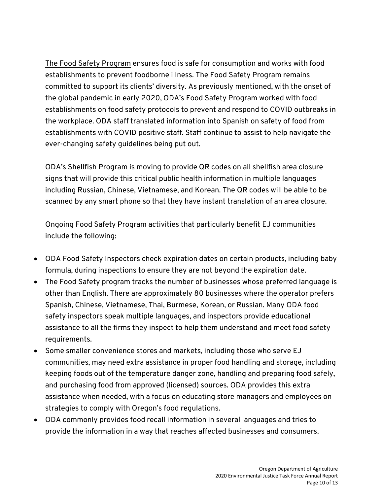The Food Safety Program ensures food is safe for consumption and works with food establishments to prevent foodborne illness. The Food Safety Program remains committed to support its clients' diversity. As previously mentioned, with the onset of the global pandemic in early 2020, ODA's Food Safety Program worked with food establishments on food safety protocols to prevent and respond to COVID outbreaks in the workplace. ODA staff translated information into Spanish on safety of food from establishments with COVID positive staff. Staff continue to assist to help navigate the ever-changing safety guidelines being put out.

ODA's Shellfish Program is moving to provide QR codes on all shellfish area closure signs that will provide this critical public health information in multiple languages including Russian, Chinese, Vietnamese, and Korean. The QR codes will be able to be scanned by any smart phone so that they have instant translation of an area closure.

Ongoing Food Safety Program activities that particularly benefit EJ communities include the following:

- ODA Food Safety Inspectors check expiration dates on certain products, including baby formula, during inspections to ensure they are not beyond the expiration date.
- The Food Safety program tracks the number of businesses whose preferred language is other than English. There are approximately 80 businesses where the operator prefers Spanish, Chinese, Vietnamese, Thai, Burmese, Korean, or Russian. Many ODA food safety inspectors speak multiple languages, and inspectors provide educational assistance to all the firms they inspect to help them understand and meet food safety requirements.
- Some smaller convenience stores and markets, including those who serve EJ communities, may need extra assistance in proper food handling and storage, including keeping foods out of the temperature danger zone, handling and preparing food safely, and purchasing food from approved (licensed) sources. ODA provides this extra assistance when needed, with a focus on educating store managers and employees on strategies to comply with Oregon's food regulations.
- ODA commonly provides food recall information in several languages and tries to provide the information in a way that reaches affected businesses and consumers.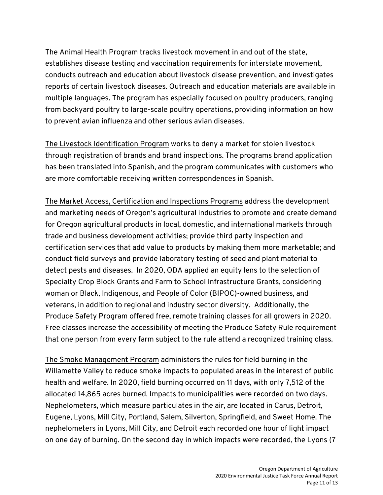The Animal Health Program tracks livestock movement in and out of the state, establishes disease testing and vaccination requirements for interstate movement, conducts outreach and education about livestock disease prevention, and investigates reports of certain livestock diseases. Outreach and education materials are available in multiple languages. The program has especially focused on poultry producers, ranging from backyard poultry to large-scale poultry operations, providing information on how to prevent avian influenza and other serious avian diseases.

The Livestock Identification Program works to deny a market for stolen livestock through registration of brands and brand inspections. The programs brand application has been translated into Spanish, and the program communicates with customers who are more comfortable receiving written correspondences in Spanish.

The Market Access, Certification and Inspections Programs address the development and marketing needs of Oregon's agricultural industries to promote and create demand for Oregon agricultural products in local, domestic, and international markets through trade and business development activities; provide third party inspection and certification services that add value to products by making them more marketable; and conduct field surveys and provide laboratory testing of seed and plant material to detect pests and diseases. In 2020, ODA applied an equity lens to the selection of Specialty Crop Block Grants and Farm to School Infrastructure Grants, considering woman or Black, Indigenous, and People of Color (BIPOC)-owned business, and veterans, in addition to regional and industry sector diversity. Additionally, the Produce Safety Program offered free, remote training classes for all growers in 2020. Free classes increase the accessibility of meeting the Produce Safety Rule requirement that one person from every farm subject to the rule attend a recognized training class.

The Smoke Management Program administers the rules for field burning in the Willamette Valley to reduce smoke impacts to populated areas in the interest of public health and welfare. In 2020, field burning occurred on 11 days, with only 7,512 of the allocated 14,865 acres burned. Impacts to municipalities were recorded on two days. Nephelometers, which measure particulates in the air, are located in Carus, Detroit, Eugene, Lyons, Mill City, Portland, Salem, Silverton, Springfield, and Sweet Home. The nephelometers in Lyons, Mill City, and Detroit each recorded one hour of light impact on one day of burning. On the second day in which impacts were recorded, the Lyons (7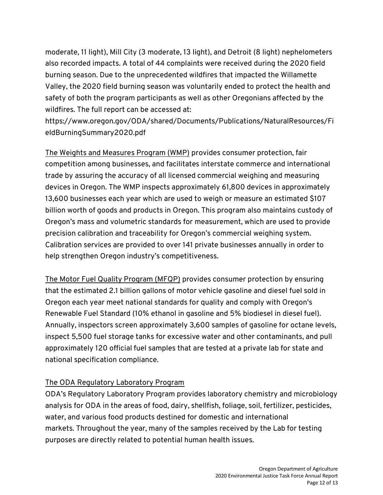moderate, 11 light), Mill City (3 moderate, 13 light), and Detroit (8 light) nephelometers also recorded impacts. A total of 44 complaints were received during the 2020 field burning season. Due to the unprecedented wildfires that impacted the Willamette Valley, the 2020 field burning season was voluntarily ended to protect the health and safety of both the program participants as well as other Oregonians affected by the wildfires. The full report can be accessed at:

https://www.oregon.gov/ODA/shared/Documents/Publications/NaturalResources/Fi eldBurningSummary2020.pdf

The Weights and Measures Program (WMP) provides consumer protection, fair competition among businesses, and facilitates interstate commerce and international trade by assuring the accuracy of all licensed commercial weighing and measuring devices in Oregon. The WMP inspects approximately 61,800 devices in approximately 13,600 businesses each year which are used to weigh or measure an estimated \$107 billion worth of goods and products in Oregon. This program also maintains custody of Oregon's mass and volumetric standards for measurement, which are used to provide precision calibration and traceability for Oregon's commercial weighing system. Calibration services are provided to over 141 private businesses annually in order to help strengthen Oregon industry's competitiveness.

The Motor Fuel Quality Program (MFQP) provides consumer protection by ensuring that the estimated 2.1 billion gallons of motor vehicle gasoline and diesel fuel sold in Oregon each year meet national standards for quality and comply with Oregon's Renewable Fuel Standard (10% ethanol in gasoline and 5% biodiesel in diesel fuel). Annually, inspectors screen approximately 3,600 samples of gasoline for octane levels, inspect 5,500 fuel storage tanks for excessive water and other contaminants, and pull approximately 120 official fuel samples that are tested at a private lab for state and national specification compliance.

## The ODA Regulatory Laboratory Program

ODA's Regulatory Laboratory Program provides laboratory chemistry and microbiology analysis for ODA in the areas of food, dairy, shellfish, foliage, soil, fertilizer, pesticides, water, and various food products destined for domestic and international markets. Throughout the year, many of the samples received by the Lab for testing purposes are directly related to potential human health issues.